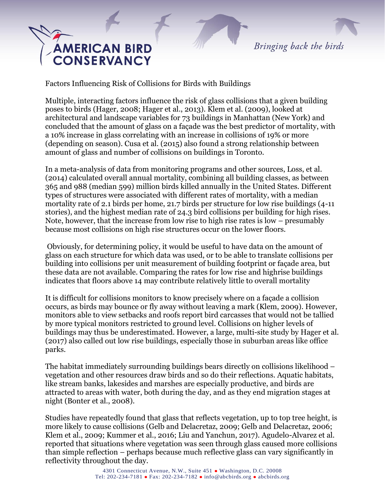Bringing back the birds

## **AMERICAN BIRD CONSERVANCY**

Factors Influencing Risk of Collisions for Birds with Buildings

Multiple, interacting factors influence the risk of glass collisions that a given building poses to birds (Hager, 2008; Hager et al., 2013). Klem et al. (2009), looked at architectural and landscape variables for 73 buildings in Manhattan (New York) and concluded that the amount of glass on a façade was the best predictor of mortality, with a 10% increase in glass correlating with an increase in collisions of 19% or more (depending on season). Cusa et al. (2015) also found a strong relationship between amount of glass and number of collisions on buildings in Toronto.

In a meta-analysis of data from monitoring programs and other sources, Loss, et al. (2014) calculated overall annual mortality, combining all building classes, as between 365 and 988 (median 599) million birds killed annually in the United States. Different types of structures were associated with different rates of mortality, with a median mortality rate of 2.1 birds per home, 21.7 birds per structure for low rise buildings (4-11 stories), and the highest median rate of 24.3 bird collisions per building for high rises. Note, however, that the increase from low rise to high rise rates is low – presumably because most collisions on high rise structures occur on the lower floors.

Obviously, for determining policy, it would be useful to have data on the amount of glass on each structure for which data was used, or to be able to translate collisions per building into collisions per unit measurement of building footprint or façade area, but these data are not available. Comparing the rates for low rise and highrise buildings indicates that floors above 14 may contribute relatively little to overall mortality

It is difficult for collisions monitors to know precisely where on a façade a collision occurs, as birds may bounce or fly away without leaving a mark (Klem, 2009). However, monitors able to view setbacks and roofs report bird carcasses that would not be tallied by more typical monitors restricted to ground level. Collisions on higher levels of buildings may thus be underestimated. However, a large, multi-site study by Hager et al. (2017) also called out low rise buildings, especially those in suburban areas like office parks.

The habitat immediately surrounding buildings bears directly on collisions likelihood – vegetation and other resources draw birds and so do their reflections. Aquatic habitats, like stream banks, lakesides and marshes are especially productive, and birds are attracted to areas with water, both during the day, and as they end migration stages at night (Bonter et al., 2008).

Studies have repeatedly found that glass that reflects vegetation, up to top tree height, is more likely to cause collisions (Gelb and Delacretaz, 2009; Gelb and Delacretaz, 2006; Klem et al., 2009; Kummer et al., 2016; Liu and Yanchun, 2017). Agudelo-Alvarez et al. reported that situations where vegetation was seen through glass caused more collisions than simple reflection – perhaps because much reflective glass can vary significantly in reflectivity throughout the day.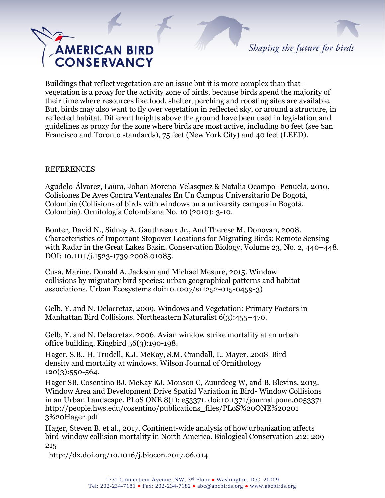

Shaping the future for birds

Buildings that reflect vegetation are an issue but it is more complex than that – vegetation is a proxy for the activity zone of birds, because birds spend the majority of their time where resources like food, shelter, perching and roosting sites are available. But, birds may also want to fly over vegetation in reflected sky, or around a structure, in reflected habitat. Different heights above the ground have been used in legislation and guidelines as proxy for the zone where birds are most active, including 60 feet (see San Francisco and Toronto standards), 75 feet (New York City) and 40 feet (LEED).

## REFERENCES

Agudelo-Álvarez, Laura, Johan Moreno-Velasquez & Natalia Ocampo- Peñuela, 2010. Colisiones De Aves Contra Ventanales En Un Campus Universitario De Bogotá, Colombia (Collisions of birds with windows on a university campus in Bogotá, Colombia). Ornitología Colombiana No. 10 (2010): 3-10.

Bonter, David N., Sidney A. Gauthreaux Jr., And Therese M. Donovan, 2008. Characteristics of Important Stopover Locations for Migrating Birds: Remote Sensing with Radar in the Great Lakes Basin. Conservation Biology, Volume 23, No. 2, 440–448*.* DOI: 10.1111/j.1523-1739.2008.01085.

Cusa, Marine, Donald A. Jackson and Michael Mesure, 2015. Window collisions by migratory bird species: urban geographical patterns and habitat associations. Urban Ecosystems doi:10.1007/s11252-015-0459-3)

Gelb, Y. and N. Delacretaz, 2009. Windows and Vegetation: Primary Factors in Manhattan Bird Collisions. Northeastern Naturalist 6(3):455–470.

Gelb, Y. and N. Delacretaz. 2006. Avian window strike mortality at an urban office building. Kingbird 56(3):190-198.

Hager, S.B., H. Trudell, K.J. McKay, S.M. Crandall, L. Mayer. 2008. Bird density and mortality at windows. Wilson Journal of Ornithology 120(3):550-564.

Hager SB, Cosentino BJ, McKay KJ, Monson C, Zuurdeeg W, and B. Blevins, 2013. Window Area and Development Drive Spatial Variation in Bird- Window Collisions in an Urban Landscape. PLoS ONE 8(1): e53371. doi:10.1371/journal.pone.0053371 [http://people.hws.edu/cosentino/publications\\_files/PLoS%20ONE%20201](http://people.hws.edu/cosentino/publications_files/PLoS%20ONE%20201) 3%20Hager.pdf

Hager, Steven B. et al., 2017. Continent-wide analysis of how urbanization affects bird-window collision mortality in North America. Biological Conservation 212: 209- 215

<http://dx.doi.org/10.1016/j.biocon.2017.06.014>